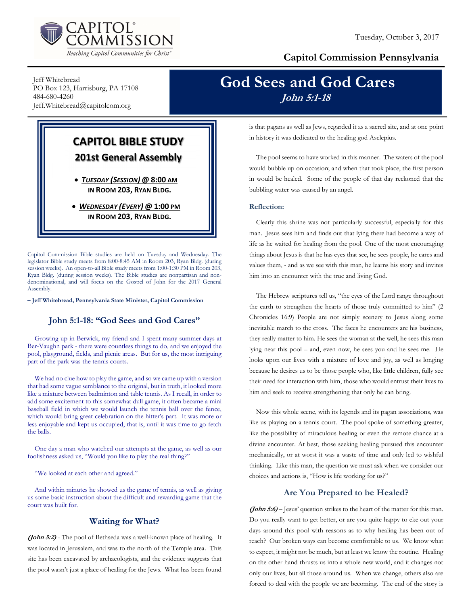

## Capitol Commission Pennsylvania

Jeff Whitebread PO Box 123, Harrisburg, PA 17108 484-680-4260 Jeff.Whitebread@capitolcom.org

## CAPITOL BIBLE STUDY 201st General Assembly

 TUESDAY (SESSION) @ 8:00 AM IN ROOM 203, RYAN BLDG.

• WEDNESDAY (EVERY) @ 1:00 PM IN ROOM 203, RYAN BLDG.

Capitol Commission Bible studies are held on Tuesday and Wednesday. The legislator Bible study meets from 8:00-8:45 AM in Room 203, Ryan Bldg. (during session weeks). An open-to-all Bible study meets from 1:00-1:30 PM in Room 203, Ryan Bldg. (during session weeks). The Bible studies are nonpartisan and nondenominational, and will focus on the Gospel of John for the 2017 General Assembly.

– Jeff Whitebread, Pennsylvania State Minister, Capitol Commission

## John 5:1-18: "God Sees and God Cares"

Growing up in Berwick, my friend and I spent many summer days at Ber-Vaughn park - there were countless things to do, and we enjoyed the pool, playground, fields, and picnic areas. But for us, the most intriguing part of the park was the tennis courts.

We had no clue how to play the game, and so we came up with a version that had some vague semblance to the original, but in truth, it looked more like a mixture between badminton and table tennis. As I recall, in order to add some excitement to this somewhat dull game, it often became a mini baseball field in which we would launch the tennis ball over the fence, which would bring great celebration on the hitter's part. It was more or less enjoyable and kept us occupied, that is, until it was time to go fetch the balls.

One day a man who watched our attempts at the game, as well as our foolishness asked us, "Would you like to play the real thing?"

"We looked at each other and agreed."

And within minutes he showed us the game of tennis, as well as giving us some basic instruction about the difficult and rewarding game that the court was built for.

## Waiting for What?

(John 5:2) - The pool of Bethseda was a well-known place of healing. It was located in Jerusalem, and was to the north of the Temple area. This site has been excavated by archaeologists, and the evidence suggests that the pool wasn't just a place of healing for the Jews. What has been found

# God Sees and God Cares John 5:1-18

is that pagans as well as Jews, regarded it as a sacred site, and at one point in history it was dedicated to the healing god Asclepius.

The pool seems to have worked in this manner. The waters of the pool would bubble up on occasion; and when that took place, the first person in would be healed. Some of the people of that day reckoned that the bubbling water was caused by an angel.

#### Reflection:

Clearly this shrine was not particularly successful, especially for this man. Jesus sees him and finds out that lying there had become a way of life as he waited for healing from the pool. One of the most encouraging things about Jesus is that he has eyes that see, he sees people, he cares and values them, - and as we see with this man, he learns his story and invites him into an encounter with the true and living God.

The Hebrew scriptures tell us, "the eyes of the Lord range throughout the earth to strengthen the hearts of those truly committed to him" (2 Chronicles 16:9) People are not simply scenery to Jesus along some inevitable march to the cross. The faces he encounters are his business, they really matter to him. He sees the woman at the well, he sees this man lying near this pool – and, even now, he sees you and he sees me. He looks upon our lives with a mixture of love and joy, as well as longing because he desires us to be those people who, like little children, fully see their need for interaction with him, those who would entrust their lives to him and seek to receive strengthening that only he can bring.

Now this whole scene, with its legends and its pagan associations, was like us playing on a tennis court. The pool spoke of something greater, like the possibility of miraculous healing or even the remote chance at a divine encounter. At best, those seeking healing pursued this encounter mechanically, or at worst it was a waste of time and only led to wishful thinking. Like this man, the question we must ask when we consider our choices and actions is, "How is life working for us?"

## Are You Prepared to be Healed?

(John 5:6) – Jesus' question strikes to the heart of the matter for this man. Do you really want to get better, or are you quite happy to eke out your days around this pool with reasons as to why healing has been out of reach? Our broken ways can become comfortable to us. We know what to expect, it might not be much, but at least we know the routine. Healing on the other hand thrusts us into a whole new world, and it changes not only our lives, but all those around us. When we change, others also are forced to deal with the people we are becoming. The end of the story is